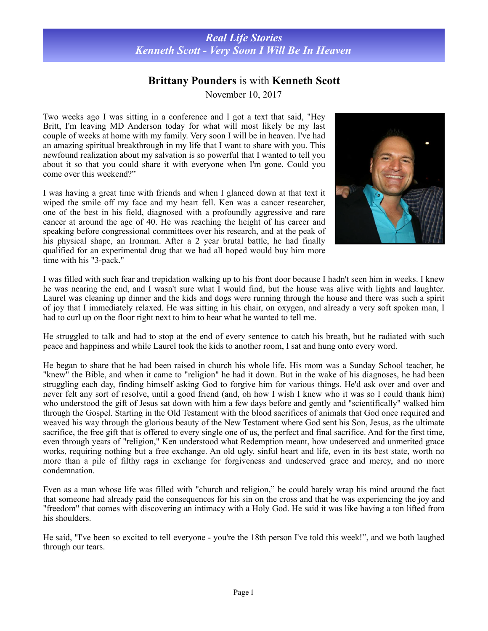## *Real Life Stories Kenneth Scott - Very Soon I Will Be In Heaven*

## **Brittany Pounders** is with **Kenneth Scott**

November 10, 2017

Two weeks ago I was sitting in a conference and I got a text that said, "Hey Britt, I'm leaving MD Anderson today for what will most likely be my last couple of weeks at home with my family. Very soon I will be in heaven. I've had an amazing spiritual breakthrough in my life that I want to share with you. This newfound realization about my salvation is so powerful that I wanted to tell you about it so that you could share it with everyone when I'm gone. Could you come over this weekend?"

I was having a great time with friends and when I glanced down at that text it wiped the smile off my face and my heart fell. Ken was a cancer researcher, one of the best in his field, diagnosed with a profoundly aggressive and rare cancer at around the age of 40. He was reaching the height of his career and speaking before congressional committees over his research, and at the peak of his physical shape, an Ironman. After a 2 year brutal battle, he had finally qualified for an experimental drug that we had all hoped would buy him more time with his "3-pack."



I was filled with such fear and trepidation walking up to his front door because I hadn't seen him in weeks. I knew he was nearing the end, and I wasn't sure what I would find, but the house was alive with lights and laughter. Laurel was cleaning up dinner and the kids and dogs were running through the house and there was such a spirit of joy that I immediately relaxed. He was sitting in his chair, on oxygen, and already a very soft spoken man, I had to curl up on the floor right next to him to hear what he wanted to tell me.

He struggled to talk and had to stop at the end of every sentence to catch his breath, but he radiated with such peace and happiness and while Laurel took the kids to another room, I sat and hung onto every word.

He began to share that he had been raised in church his whole life. His mom was a Sunday School teacher, he "knew" the Bible, and when it came to "religion" he had it down. But in the wake of his diagnoses, he had been struggling each day, finding himself asking God to forgive him for various things. He'd ask over and over and never felt any sort of resolve, until a good friend (and, oh how I wish I knew who it was so I could thank him) who understood the gift of Jesus sat down with him a few days before and gently and "scientifically" walked him through the Gospel. Starting in the Old Testament with the blood sacrifices of animals that God once required and weaved his way through the glorious beauty of the New Testament where God sent his Son, Jesus, as the ultimate sacrifice, the free gift that is offered to every single one of us, the perfect and final sacrifice. And for the first time, even through years of "religion," Ken understood what Redemption meant, how undeserved and unmerited grace works, requiring nothing but a free exchange. An old ugly, sinful heart and life, even in its best state, worth no more than a pile of filthy rags in exchange for forgiveness and undeserved grace and mercy, and no more condemnation.

Even as a man whose life was filled with "church and religion," he could barely wrap his mind around the fact that someone had already paid the consequences for his sin on the cross and that he was experiencing the joy and "freedom" that comes with discovering an intimacy with a Holy God. He said it was like having a ton lifted from his shoulders.

He said, "I've been so excited to tell everyone - you're the 18th person I've told this week!", and we both laughed through our tears.